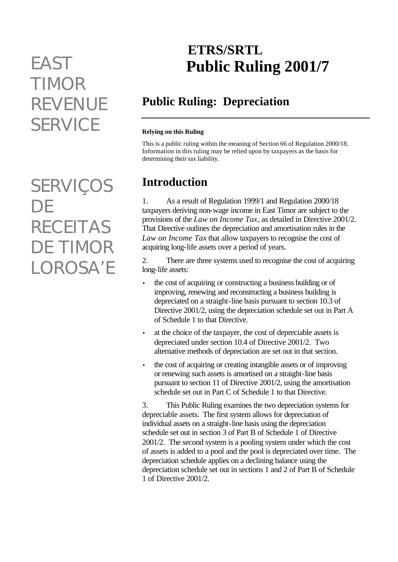# *TIMOR REVENUE SERVICE*

*SERVIÇOS DE RECEITAS DE TIMOR LOROSA'E*

# **ETRS/SRTL** *EAST* **Public Ruling 2001/7**

# **Public Ruling: Depreciation**

#### **Relying on this Ruling**

This is a public ruling within the meaning of Section 66 of Regulation 2000/18. Information in this ruling may be relied upon by taxpayers as the basis for determining their tax liability.

### **Introduction**

1. As a result of Regulation 1999/1 and Regulation 2000/18 taxpayers deriving non-wage income in East Timor are subject to the provisions of the *Law on Income Tax*, as detailed in Directive 2001/2. That Directive outlines the depreciation and amortisation rules in the *Law on Income Tax* that allow taxpayers to recognise the cost of acquiring long-life assets over a period of years.

2. There are three systems used to recognise the cost of acquiring long-life assets:

- the cost of acquiring or constructing a business building or of improving, renewing and reconstructing a business building is depreciated on a straight-line basis pursuant to section 10.3 of Directive 2001/2, using the depreciation schedule set out in Part A of Schedule 1 to that Directive.
- at the choice of the taxpayer, the cost of depreciable assets is depreciated under section 10.4 of Directive 2001/2. Two alternative methods of depreciation are set out in that section.
- the cost of acquiring or creating intangible assets or of improving or renewing such assets is amortised on a straight-line basis pursuant to section 11 of Directive 2001/2, using the amortisation schedule set out in Part C of Schedule 1 to that Directive.

3. This Public Ruling examines the two depreciation systems for depreciable assets. The first system allows for depreciation of individual assets on a straight-line basis using the depreciation schedule set out in section 3 of Part B of Schedule 1 of Directive 2001/2. The second system is a pooling system under which the cost of assets is added to a pool and the pool is depreciated over time. The depreciation schedule applies on a declining balance using the depreciation schedule set out in sections 1 and 2 of Part B of Schedule 1 of Directive 2001/2.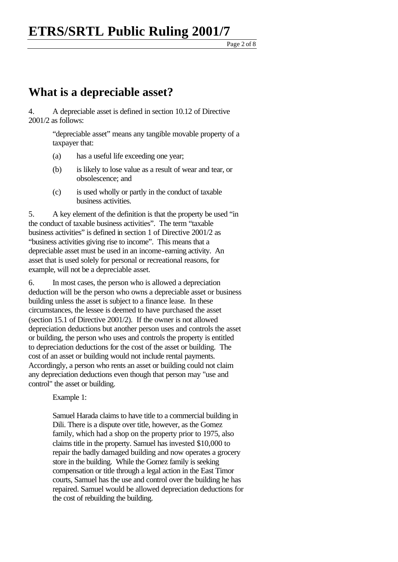Page 2 of  $\overline{8}$ 

### **What is a depreciable asset?**

#### 4. A depreciable asset is defined in section 10.12 of Directive 2001/2 as follows:

"depreciable asset" means any tangible movable property of a taxpayer that:

- (a) has a useful life exceeding one year;
- (b) is likely to lose value as a result of wear and tear, or obsolescence; and
- (c) is used wholly or partly in the conduct of taxable business activities.

5. A key element of the definition is that the property be used "in the conduct of taxable business activities". The term "taxable business activities" is defined in section 1 of Directive 2001/2 as "business activities giving rise to income". This means that a depreciable asset must be used in an income-earning activity. An asset that is used solely for personal or recreational reasons, for example, will not be a depreciable asset.

6. In most cases, the person who is allowed a depreciation deduction will be the person who owns a depreciable asset or business building unless the asset is subject to a finance lease. In these circumstances, the lessee is deemed to have purchased the asset (section 15.1 of Directive 2001/2). If the owner is not allowed depreciation deductions but another person uses and controls the asset or building, the person who uses and controls the property is entitled to depreciation deductions for the cost of the asset or building. The cost of an asset or building would not include rental payments. Accordingly, a person who rents an asset or building could not claim any depreciation deductions even though that person may "use and control" the asset or building.

Example 1:

Samuel Harada claims to have title to a commercial building in Dili. There is a dispute over title, however, as the Gomez family, which had a shop on the property prior to 1975, also claims title in the property. Samuel has invested \$10,000 to repair the badly damaged building and now operates a grocery store in the building. While the Gomez family is seeking compensation or title through a legal action in the East Timor courts, Samuel has the use and control over the building he has repaired. Samuel would be allowed depreciation deductions for the cost of rebuilding the building.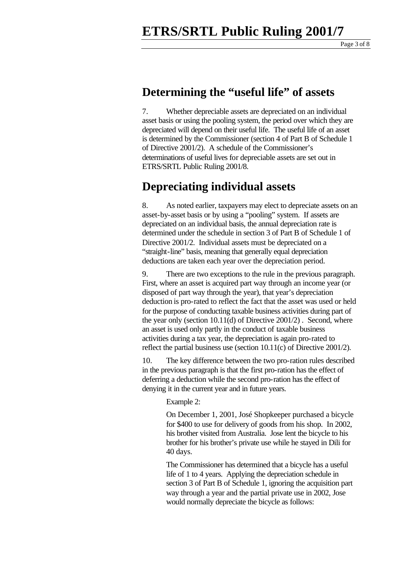### **Determining the "useful life" of assets**

7. Whether depreciable assets are depreciated on an individual asset basis or using the pooling system, the period over which they are depreciated will depend on their useful life. The useful life of an asset is determined by the Commissioner (section 4 of Part B of Schedule 1 of Directive 2001/2). A schedule of the Commissioner's determinations of useful lives for depreciable assets are set out in ETRS/SRTL Public Ruling 2001/8.

### **Depreciating individual assets**

8. As noted earlier, taxpayers may elect to depreciate assets on an asset-by-asset basis or by using a "pooling" system. If assets are depreciated on an individual basis, the annual depreciation rate is determined under the schedule in section 3 of Part B of Schedule 1 of Directive 2001/2. Individual assets must be depreciated on a "straight-line" basis, meaning that generally equal depreciation deductions are taken each year over the depreciation period.

9. There are two exceptions to the rule in the previous paragraph. First, where an asset is acquired part way through an income year (or disposed of part way through the year), that year's depreciation deduction is pro-rated to reflect the fact that the asset was used or held for the purpose of conducting taxable business activities during part of the year only (section 10.11(d) of Directive 2001/2) . Second, where an asset is used only partly in the conduct of taxable business activities during a tax year, the depreciation is again pro-rated to reflect the partial business use (section 10.11(c) of Directive 2001/2).

10. The key difference between the two pro-ration rules described in the previous paragraph is that the first pro-ration has the effect of deferring a deduction while the second pro-ration has the effect of denying it in the current year and in future years.

#### Example 2:

On December 1, 2001, José Shopkeeper purchased a bicycle for \$400 to use for delivery of goods from his shop. In 2002, his brother visited from Australia. Jose lent the bicycle to his brother for his brother's private use while he stayed in Dili for 40 days.

The Commissioner has determined that a bicycle has a useful life of 1 to 4 years. Applying the depreciation schedule in section 3 of Part B of Schedule 1, ignoring the acquisition part way through a year and the partial private use in 2002, Jose would normally depreciate the bicycle as follows: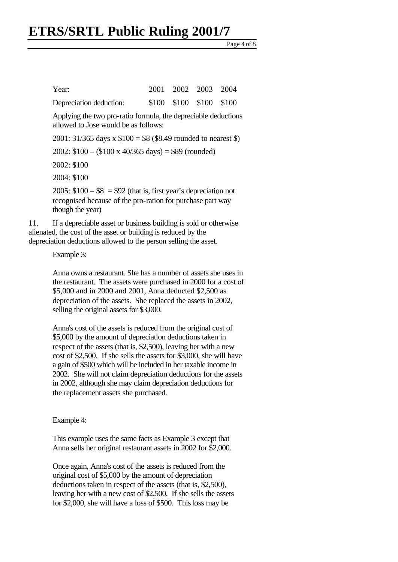Page 4 of 8

| Year:                   |  | 2001 2002 2003 2004     |  |
|-------------------------|--|-------------------------|--|
| Depreciation deduction: |  | \$100 \$100 \$100 \$100 |  |

Applying the two pro-ratio formula, the depreciable deductions allowed to Jose would be as follows:

2001:  $31/365$  days x  $$100 = $8$  (\$8.49 rounded to nearest \$)

2002:  $$100 - ($100 \times 40/365 \text{ days}) = $89 \text{ (rounded)}$ 

2002: \$100

2004: \$100

2005:  $$100 - $8 = $92$  (that is, first year's depreciation not recognised because of the pro-ration for purchase part way though the year)

11. If a depreciable asset or business building is sold or otherwise alienated, the cost of the asset or building is reduced by the depreciation deductions allowed to the person selling the asset.

Example 3:

Anna owns a restaurant. She has a number of assets she uses in the restaurant. The assets were purchased in 2000 for a cost of \$5,000 and in 2000 and 2001, Anna deducted \$2,500 as depreciation of the assets. She replaced the assets in 2002, selling the original assets for \$3,000.

Anna's cost of the assets is reduced from the original cost of \$5,000 by the amount of depreciation deductions taken in respect of the assets (that is, \$2,500), leaving her with a new cost of \$2,500. If she sells the assets for \$3,000, she will have a gain of \$500 which will be included in her taxable income in 2002. She will not claim depreciation deductions for the assets in 2002, although she may claim depreciation deductions for the replacement assets she purchased.

Example 4:

This example uses the same facts as Example 3 except that Anna sells her original restaurant assets in 2002 for \$2,000.

Once again, Anna's cost of the assets is reduced from the original cost of \$5,000 by the amount of depreciation deductions taken in respect of the assets (that is, \$2,500), leaving her with a new cost of \$2,500. If she sells the assets for \$2,000, she will have a loss of \$500. This loss may be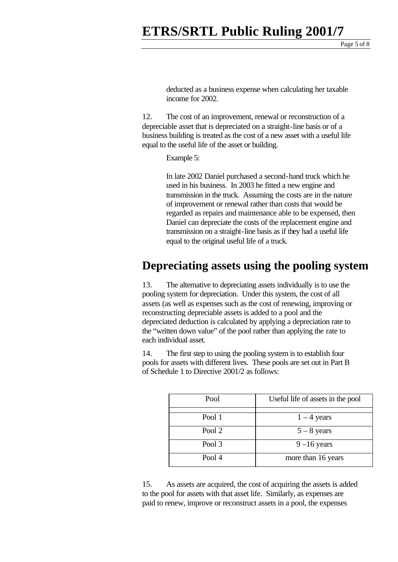Page 5 of 8

deducted as a business expense when calculating her taxable income for 2002.

12. The cost of an improvement, renewal or reconstruction of a depreciable asset that is depreciated on a straight-line basis or of a business building is treated as the cost of a new asset with a useful life equal to the useful life of the asset or building.

Example 5:

In late 2002 Daniel purchased a second-hand truck which he used in his business. In 2003 he fitted a new engine and transmission in the truck. Assuming the costs are in the nature of improvement or renewal rather than costs that would be regarded as repairs and maintenance able to be expensed, then Daniel can depreciate the costs of the replacement engine and transmission on a straight-line basis as if they had a useful life equal to the original useful life of a truck.

### **Depreciating assets using the pooling system**

13. The alternative to depreciating assets individually is to use the pooling system for depreciation. Under this system, the cost of all assets (as well as expenses such as the cost of renewing, improving or reconstructing depreciable assets is added to a pool and the depreciated deduction is calculated by applying a depreciation rate to the "written down value" of the pool rather than applying the rate to each individual asset.

14. The first step to using the pooling system is to establish four pools for assets with different lives. These pools are set out in Part B of Schedule 1 to Directive 2001/2 as follows:

| Pool   | Useful life of assets in the pool |
|--------|-----------------------------------|
| Pool 1 | $1 - 4$ years                     |
| Pool 2 | $5 - 8$ years                     |
| Pool 3 | $9-16$ years                      |
| Pool 4 | more than 16 years                |

15. As assets are acquired, the cost of acquiring the assets is added to the pool for assets with that asset life. Similarly, as expenses are paid to renew, improve or reconstruct assets in a pool, the expenses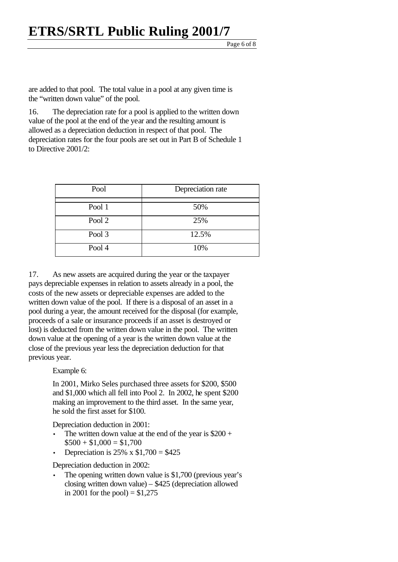Page 6 of 8

are added to that pool. The total value in a pool at any given time is the "written down value" of the pool.

16. The depreciation rate for a pool is applied to the written down value of the pool at the end of the year and the resulting amount is allowed as a depreciation deduction in respect of that pool. The depreciation rates for the four pools are set out in Part B of Schedule 1 to Directive 2001/2:

| Pool   | Depreciation rate |
|--------|-------------------|
| Pool 1 | 50%               |
| Pool 2 | 25%               |
| Pool 3 | 12.5%             |
| Pool 4 | 10%               |

17. As new assets are acquired during the year or the taxpayer pays depreciable expenses in relation to assets already in a pool, the costs of the new assets or depreciable expenses are added to the written down value of the pool. If there is a disposal of an asset in a pool during a year, the amount received for the disposal (for example, proceeds of a sale or insurance proceeds if an asset is destroyed or lost) is deducted from the written down value in the pool. The written down value at the opening of a year is the written down value at the close of the previous year less the depreciation deduction for that previous year.

Example 6:

In 2001, Mirko Seles purchased three assets for \$200, \$500 and \$1,000 which all fell into Pool 2. In 2002, he spent \$200 making an improvement to the third asset. In the same year, he sold the first asset for \$100.

Depreciation deduction in 2001:

- The written down value at the end of the year is  $$200 +$  $$500 + $1,000 = $1,700$
- Depreciation is  $25\% \times \$1,700 = \$425$

Depreciation deduction in 2002:

The opening written down value is \$1,700 (previous year's closing written down value) – \$425 (depreciation allowed in 2001 for the pool) =  $$1,275$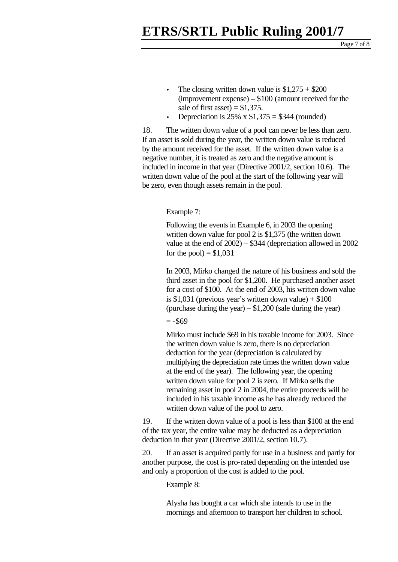- The closing written down value is  $$1,275 + $200$ (improvement expense) – \$100 (amount received for the sale of first asset) =  $$1,375$ .
- Depreciation is  $25\% \times \$1,375 = \$344$  (rounded)

18. The written down value of a pool can never be less than zero. If an asset is sold during the year, the written down value is reduced by the amount received for the asset. If the written down value is a negative number, it is treated as zero and the negative amount is included in income in that year (Directive 2001/2, section 10.6). The written down value of the pool at the start of the following year will be zero, even though assets remain in the pool.

#### Example 7:

Following the events in Example 6, in 2003 the opening written down value for pool 2 is \$1,375 (the written down value at the end of 2002) – \$344 (depreciation allowed in 2002 for the pool) =  $$1,031$ 

In 2003, Mirko changed the nature of his business and sold the third asset in the pool for \$1,200. He purchased another asset for a cost of \$100. At the end of 2003, his written down value is \$1,031 (previous year's written down value)  $+ $100$ (purchase during the year) –  $$1,200$  (sale during the year)

 $= -\$69$ 

Mirko must include \$69 in his taxable income for 2003. Since the written down value is zero, there is no depreciation deduction for the year (depreciation is calculated by multiplying the depreciation rate times the written down value at the end of the year). The following year, the opening written down value for pool 2 is zero. If Mirko sells the remaining asset in pool 2 in 2004, the entire proceeds will be included in his taxable income as he has already reduced the written down value of the pool to zero.

19. If the written down value of a pool is less than \$100 at the end of the tax year, the entire value may be deducted as a depreciation deduction in that year (Directive 2001/2, section 10.7).

20. If an asset is acquired partly for use in a business and partly for another purpose, the cost is pro-rated depending on the intended use and only a proportion of the cost is added to the pool.

Example 8:

Alysha has bought a car which she intends to use in the mornings and afternoon to transport her children to school.